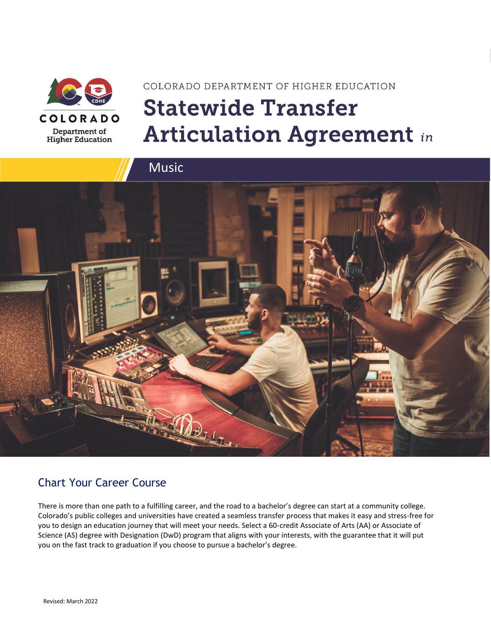

# COLORADO DEPARTMENT OF HIGHER EDUCATION **Statewide Transfer Articulation Agreement in**



### Chart Your Career Course

There is more than one path to a fulfilling career, and the road to a bachelor's degree can start at a community college. Colorado's public colleges and universities have created a seamless transfer process that makes it easy and stress-free for you to design an education journey that will meet your needs. Select a 60-credit Associate of Arts (AA) or Associate of Science (AS) degree with Designation (DwD) program that aligns with your interests, with the guarantee that it will put you on the fast track to graduation if you choose to pursue a bachelor's degree.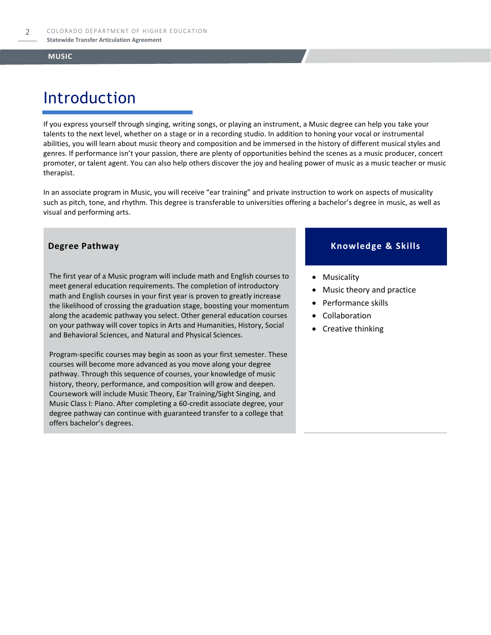# Introduction

If you express yourself through singing, writing songs, or playing an instrument, a Music degree can help you take your talents to the next level, whether on a stage or in a recording studio. In addition to honing your vocal or instrumental abilities, you will learn about music theory and composition and be immersed in the history of different musical styles and genres. If performance isn't your passion, there are plenty of opportunities behind the scenes as a music producer, concert promoter, or talent agent. You can also help others discover the joy and healing power of music as a music teacher or music therapist.

In an associate program in Music, you will receive "ear training" and private instruction to work on aspects of musicality such as pitch, tone, and rhythm. This degree is transferable to universities offering a bachelor's degree in music, as well as visual and performing arts.

The first year of a Music program will include math and English courses to meet general education requirements. The completion of introductory math and English courses in your first year is proven to greatly increase the likelihood of crossing the graduation stage, boosting your momentum along the academic pathway you select. Other general education courses on your pathway will cover topics in Arts and Humanities, History, Social and Behavioral Sciences, and Natural and Physical Sciences.

Program-specific courses may begin as soon as your first semester. These courses will become more advanced as you move along your degree pathway. Through this sequence of courses, your knowledge of music history, theory, performance, and composition will grow and deepen. Coursework will include Music Theory, Ear Training/Sight Singing, and Music Class I: Piano. After completing a 60-credit associate degree, your degree pathway can continue with guaranteed transfer to a college that offers bachelor's degrees.

#### **Degree Pathway Knowledge & Skills**

- Musicality
- Music theory and practice
- Performance skills
- **Collaboration**
- Creative thinking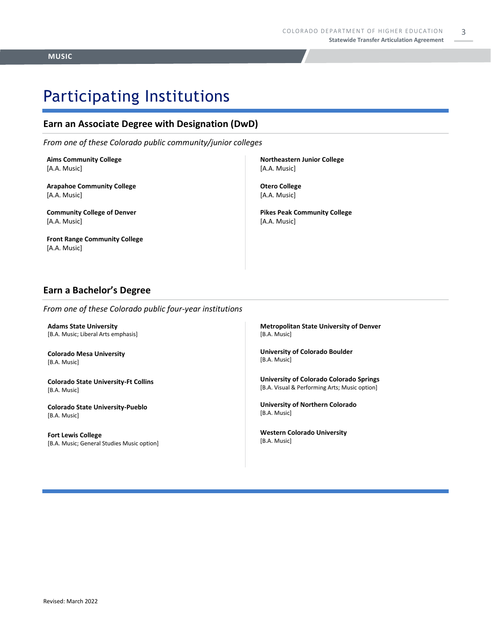### Participating Institutions

#### **Earn an Associate Degree with Designation (DwD)**

*From one of these Colorado public community/junior colleges*

**Aims Community College** [A.A. Music]

**Arapahoe Community College** [A.A. Music]

**Community College of Denver** [A.A. Music]

**Front Range Community College** [A.A. Music]

**Northeastern Junior College** [A.A. Music]

**Otero College** [A.A. Music]

**Pikes Peak Community College** [A.A. Music]

#### **Earn a Bachelor's Degree**

*From one of these Colorado public four-year institutions*

**Adams State University**  [B.A. Music; Liberal Arts emphasis]

**Colorado Mesa University**  [B.A. Music]

**Colorado State University-Ft Collins**  [B.A. Music]

**Colorado State University-Pueblo**  [B.A. Music]

**Fort Lewis College**  [B.A. Music; General Studies Music option] **Metropolitan State University of Denver**  [B.A. Music]

**University of Colorado Boulder**  [B.A. Music]

**University of Colorado Colorado Springs** [B.A. Visual & Performing Arts; Music option]

**University of Northern Colorado** [B.A. Music]

**Western Colorado University** [B.A. Music]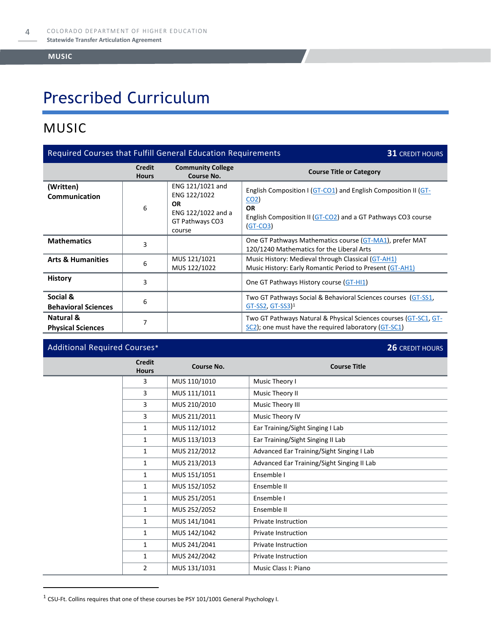# Prescribed Curriculum

### MUSIC

| Required Courses that Fulfill General Education Requirements<br><b>31 CREDIT HOURS</b> |                               |                                                                                                  |                                                                                                                                                                              |
|----------------------------------------------------------------------------------------|-------------------------------|--------------------------------------------------------------------------------------------------|------------------------------------------------------------------------------------------------------------------------------------------------------------------------------|
|                                                                                        | <b>Credit</b><br><b>Hours</b> | <b>Community College</b><br>Course No.                                                           | <b>Course Title or Category</b>                                                                                                                                              |
| (Written)<br>Communication                                                             | 6                             | ENG 121/1021 and<br>ENG 122/1022<br><b>OR</b><br>ENG 122/1022 and a<br>GT Pathways CO3<br>course | English Composition I (GT-CO1) and English Composition II (GT-<br>CO <sub>2</sub><br><b>OR</b><br>English Composition II (GT-CO2) and a GT Pathways CO3 course<br>$(GT-CO3)$ |
| <b>Mathematics</b>                                                                     | 3                             |                                                                                                  | One GT Pathways Mathematics course (GT-MA1), prefer MAT<br>120/1240 Mathematics for the Liberal Arts                                                                         |
| <b>Arts &amp; Humanities</b>                                                           | 6                             | MUS 121/1021<br>MUS 122/1022                                                                     | Music History: Medieval through Classical (GT-AH1)<br>Music History: Early Romantic Period to Present (GT-AH1)                                                               |
| <b>History</b>                                                                         | 3                             |                                                                                                  | One GT Pathways History course (GT-HI1)                                                                                                                                      |
| Social &<br><b>Behavioral Sciences</b>                                                 | 6                             |                                                                                                  | Two GT Pathways Social & Behavioral Sciences courses (GT-SS1,<br>$GT-SS2, GT-SS3$ <sup>1</sup>                                                                               |
| Natural &<br><b>Physical Sciences</b>                                                  | 7                             |                                                                                                  | Two GT Pathways Natural & Physical Sciences courses (GT-SC1, GT-<br>SC2); one must have the required laboratory (GT-SC1)                                                     |

### Additional Required Courses\* **26** CREDIT HOURS

| <b>Credit</b><br><b>Hours</b> | Course No.   | <b>Course Title</b>                        |
|-------------------------------|--------------|--------------------------------------------|
| 3                             | MUS 110/1010 | Music Theory I                             |
| 3                             | MUS 111/1011 | Music Theory II                            |
| 3                             | MUS 210/2010 | Music Theory III                           |
| 3                             | MUS 211/2011 | Music Theory IV                            |
| $\mathbf{1}$                  | MUS 112/1012 | Ear Training/Sight Singing I Lab           |
| $\mathbf{1}$                  | MUS 113/1013 | Ear Training/Sight Singing II Lab          |
| 1                             | MUS 212/2012 | Advanced Ear Training/Sight Singing I Lab  |
| $\mathbf{1}$                  | MUS 213/2013 | Advanced Ear Training/Sight Singing II Lab |
| 1                             | MUS 151/1051 | Ensemble I                                 |
| $\mathbf{1}$                  | MUS 152/1052 | Ensemble II                                |
| $\mathbf{1}$                  | MUS 251/2051 | Ensemble I                                 |
| $\mathbf{1}$                  | MUS 252/2052 | Ensemble II                                |
| $\mathbf{1}$                  | MUS 141/1041 | Private Instruction                        |
| $\mathbf{1}$                  | MUS 142/1042 | Private Instruction                        |
| $\mathbf{1}$                  | MUS 241/2041 | Private Instruction                        |
| $\mathbf{1}$                  | MUS 242/2042 | Private Instruction                        |
| $\overline{2}$                | MUS 131/1031 | Music Class I: Piano                       |

 $^1$  CSU-Ft. Collins requires that one of these courses be PSY 101/1001 General Psychology I.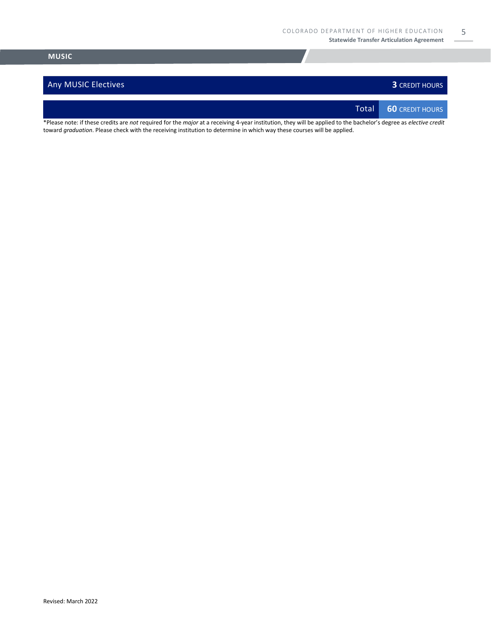#### Any MUSIC Electives **3** CREDIT HOURS

5

Total **60** CREDIT HOURS

\*Please note: if these credits are *not* required for the *major* at a receiving 4-year institution, they will be applied to the bachelor's degree as *elective credit* toward *graduation*. Please check with the receiving institution to determine in which way these courses will be applied.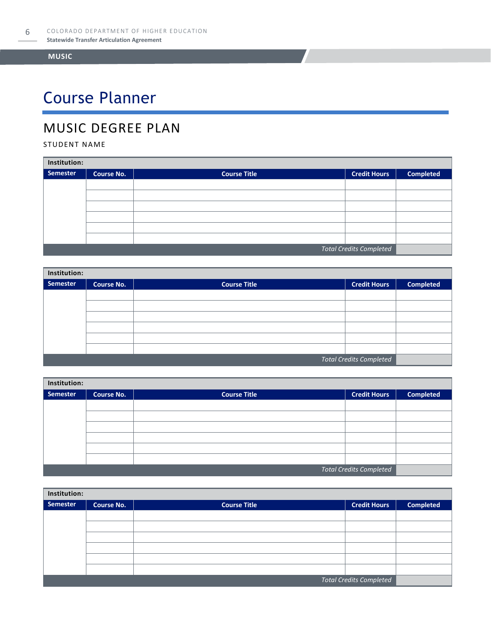# Course Planner

### MUSIC DEGREE PLAN

#### STUDENT NAME

| Institution:                   |                   |                     |                     |                  |  |
|--------------------------------|-------------------|---------------------|---------------------|------------------|--|
| Semester                       | <b>Course No.</b> | <b>Course Title</b> | <b>Credit Hours</b> | <b>Completed</b> |  |
|                                |                   |                     |                     |                  |  |
|                                |                   |                     |                     |                  |  |
|                                |                   |                     |                     |                  |  |
|                                |                   |                     |                     |                  |  |
|                                |                   |                     |                     |                  |  |
|                                |                   |                     |                     |                  |  |
| <b>Total Credits Completed</b> |                   |                     |                     |                  |  |

| Institution:                   |                   |                     |                     |                  |  |
|--------------------------------|-------------------|---------------------|---------------------|------------------|--|
| Semester                       | <b>Course No.</b> | <b>Course Title</b> | <b>Credit Hours</b> | <b>Completed</b> |  |
|                                |                   |                     |                     |                  |  |
|                                |                   |                     |                     |                  |  |
|                                |                   |                     |                     |                  |  |
|                                |                   |                     |                     |                  |  |
|                                |                   |                     |                     |                  |  |
|                                |                   |                     |                     |                  |  |
| <b>Total Credits Completed</b> |                   |                     |                     |                  |  |

| Institution:                   |            |                     |                     |                  |  |
|--------------------------------|------------|---------------------|---------------------|------------------|--|
| Semester                       | Course No. | <b>Course Title</b> | <b>Credit Hours</b> | <b>Completed</b> |  |
|                                |            |                     |                     |                  |  |
|                                |            |                     |                     |                  |  |
|                                |            |                     |                     |                  |  |
|                                |            |                     |                     |                  |  |
|                                |            |                     |                     |                  |  |
|                                |            |                     |                     |                  |  |
| <b>Total Credits Completed</b> |            |                     |                     |                  |  |

| Institution:                   |                   |                     |                     |                  |  |
|--------------------------------|-------------------|---------------------|---------------------|------------------|--|
| Semester                       | <b>Course No.</b> | <b>Course Title</b> | <b>Credit Hours</b> | <b>Completed</b> |  |
|                                |                   |                     |                     |                  |  |
|                                |                   |                     |                     |                  |  |
|                                |                   |                     |                     |                  |  |
|                                |                   |                     |                     |                  |  |
|                                |                   |                     |                     |                  |  |
|                                |                   |                     |                     |                  |  |
| <b>Total Credits Completed</b> |                   |                     |                     |                  |  |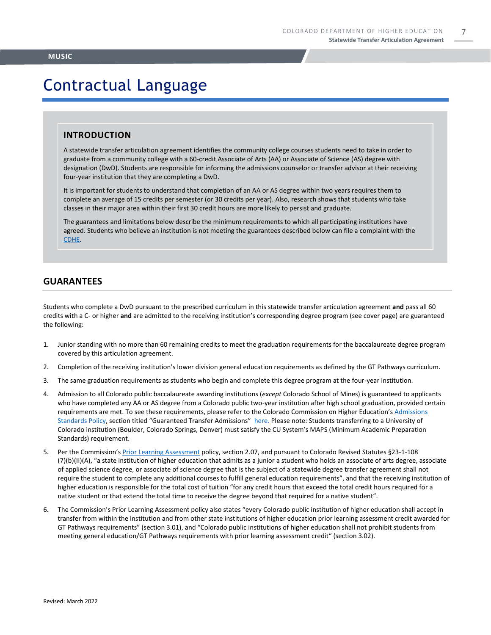7

## Contractual Language

#### **INTRODUCTION**

A statewide transfer articulation agreement identifies the community college courses students need to take in order to graduate from a community college with a 60-credit Associate of Arts (AA) or Associate of Science (AS) degree with designation (DwD). Students are responsible for informing the admissions counselor or transfer advisor at their receiving four-year institution that they are completing a DwD.

It is important for students to understand that completion of an AA or AS degree within two years requires them to complete an average of 15 credits per semester (or 30 credits per year). Also, research shows that students who take classes in their major area within their first 30 credit hours are more likely to persist and graduate.

The guarantees and limitations below describe the minimum requirements to which all participating institutions have agreed. Students who believe an institution is not meeting the guarantees described below can file a complaint with the [CDHE.](https://highered.colorado.gov/filing-student-complaint)

#### **GUARANTEES**

Students who complete a DwD pursuant to the prescribed curriculum in this statewide transfer articulation agreement **and** pass all 60 credits with a C- or higher **and** are admitted to the receiving institution's corresponding degree program (see cover page) are guaranteed the following:

- 1. Junior standing with no more than 60 remaining credits to meet the graduation requirements for the baccalaureate degree program covered by this articulation agreement.
- 2. Completion of the receiving institution's lower division general education requirements as defined by the GT Pathways curriculum.
- 3. The same graduation requirements as students who begin and complete this degree program at the four-year institution.
- 4. Admission to all Colorado public baccalaureate awarding institutions (*except* Colorado School of Mines) is guaranteed to applicants who have completed any AA or AS degree from a Colorado public two-year institution after high school graduation, provided certain requirements are met. To see these requirements, please refer to the Colorado Commission on Higher Education's [Admissions](https://highered.colorado.gov/sites/highered/files/2020-03/i-partf_0.pdf)  [Standards Policy](https://highered.colorado.gov/sites/highered/files/2020-03/i-partf_0.pdf), section titled "Guaranteed Transfer Admissions" [here.](https://highered.colorado.gov/educators/policy-funding/cche-policies-procedures) Please note: Students transferring to a University of Colorado institution (Boulder, Colorado Springs, Denver) must satisfy the CU System's MAPS (Minimum Academic Preparation Standards) requirement.
- 5. Per the Commission's [Prior Learning Assessment](https://highered.colorado.gov/sites/highered/files/2020-03/i-partx.pdf) policy, section 2.07, and pursuant to Colorado Revised Statutes §23-1-108 (7)(b)(II)(A), "a state institution of higher education that admits as a junior a student who holds an associate of arts degree, associate of applied science degree, or associate of science degree that is the subject of a statewide degree transfer agreement shall not require the student to complete any additional courses to fulfill general education requirements", and that the receiving institution of higher education is responsible for the total cost of tuition "for any credit hours that exceed the total credit hours required for a native student or that extend the total time to receive the degree beyond that required for a native student".
- 6. The Commission's Prior Learning Assessment policy also states "every Colorado public institution of higher education shall accept in transfer from within the institution and from other state institutions of higher education prior learning assessment credit awarded for GT Pathways requirements" (section 3.01), and "Colorado public institutions of higher education shall not prohibit students from meeting general education/GT Pathways requirements with prior learning assessment credit" (section 3.02).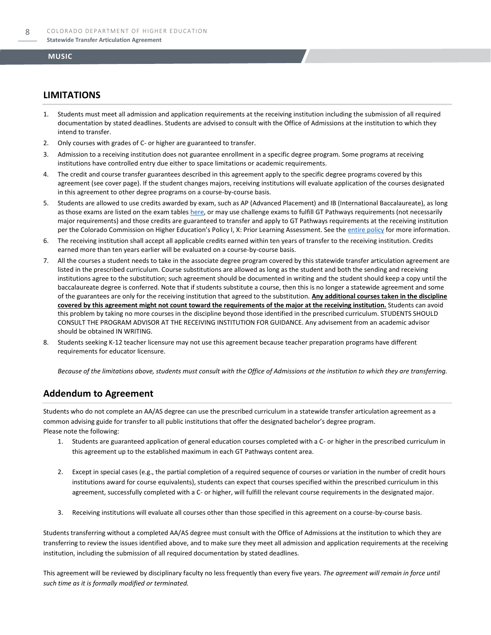#### **LIMITATIONS**

- 1. Students must meet all admission and application requirements at the receiving institution including the submission of all required documentation by stated deadlines. Students are advised to consult with the Office of Admissions at the institution to which they intend to transfer.
- 2. Only courses with grades of C- or higher are guaranteed to transfer.
- 3. Admission to a receiving institution does not guarantee enrollment in a specific degree program. Some programs at receiving institutions have controlled entry due either to space limitations or academic requirements.
- 4. The credit and course transfer guarantees described in this agreement apply to the specific degree programs covered by this agreement (see cover page). If the student changes majors, receiving institutions will evaluate application of the courses designated in this agreement to other degree programs on a course-by-course basis.
- 5. Students are allowed to use credits awarded by exam, such as AP (Advanced Placement) and IB (International Baccalaureate), as long as those exams are listed on the exam table[s here,](https://highered.colorado.gov/get-credit-for-what-you-already-know) or may use challenge exams to fulfill GT Pathways requirements (not necessarily major requirements) and those credits are guaranteed to transfer and apply to GT Pathways requirements at the receiving institution per the Colorado Commission on Higher Education's Policy I, X: Prior Learning Assessment. See the [entire policy](https://highered.colorado.gov/sites/highered/files/2020-03/i-partx.pdf) for more information.
- 6. The receiving institution shall accept all applicable credits earned within ten years of transfer to the receiving institution. Credits earned more than ten years earlier will be evaluated on a course-by-course basis.
- 7. All the courses a student needs to take in the associate degree program covered by this statewide transfer articulation agreement are listed in the prescribed curriculum. Course substitutions are allowed as long as the student and both the sending and receiving institutions agree to the substitution; such agreement should be documented in writing and the student should keep a copy until the baccalaureate degree is conferred. Note that if students substitute a course, then this is no longer a statewide agreement and some of the guarantees are only for the receiving institution that agreed to the substitution. **Any additional courses taken in the discipline covered by this agreement might not count toward the requirements of the major at the receiving institution.** Students can avoid this problem by taking no more courses in the discipline beyond those identified in the prescribed curriculum. STUDENTS SHOULD CONSULT THE PROGRAM ADVISOR AT THE RECEIVING INSTITUTION FOR GUIDANCE. Any advisement from an academic advisor should be obtained IN WRITING.
- Students seeking K-12 teacher licensure may not use this agreement because teacher preparation programs have different requirements for educator licensure.

*Because of the limitations above, students must consult with the Office of Admissions at the institution to which they are transferring.*

#### **Addendum to Agreement**

Students who do not complete an AA/AS degree can use the prescribed curriculum in a statewide transfer articulation agreement as a common advising guide for transfer to all public institutions that offer the designated bachelor's degree program. Please note the following:

- 1. Students are guaranteed application of general education courses completed with a C- or higher in the prescribed curriculum in this agreement up to the established maximum in each GT Pathways content area.
- 2. Except in special cases (e.g., the partial completion of a required sequence of courses or variation in the number of credit hours institutions award for course equivalents), students can expect that courses specified within the prescribed curriculum in this agreement, successfully completed with a C- or higher, will fulfill the relevant course requirements in the designated major.
- 3. Receiving institutions will evaluate all courses other than those specified in this agreement on a course-by-course basis.

Students transferring without a completed AA/AS degree must consult with the Office of Admissions at the institution to which they are transferring to review the issues identified above, and to make sure they meet all admission and application requirements at the receiving institution, including the submission of all required documentation by stated deadlines.

This agreement will be reviewed by disciplinary faculty no less frequently than every five years. *The agreement will remain in force until such time as it is formally modified or terminated.*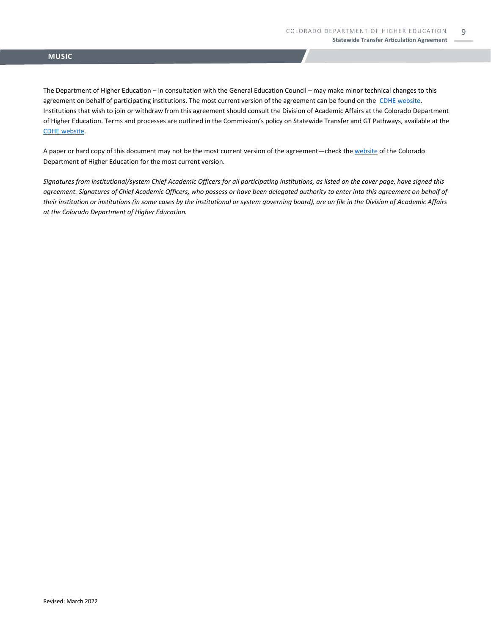The Department of Higher Education – in consultation with the General Education Council – may make minor technical changes to this agreement on behalf of participating institutions. The most current version of the agreement can be found on the [CDHE website.](https://highered.colorado.gov/transfer-degrees) Institutions that wish to join or withdraw from this agreement should consult the Division of Academic Affairs at the Colorado Department of Higher Education. Terms and processes are outlined in the Commission's policy on Statewide Transfer and GT Pathways, available at the [CDHE website.](https://highered.colorado.gov/educators/policy-funding/general-education-ge-council/gtpathways/transfer-agreements)

A paper or hard copy of this document may not be the most current version of the agreement—check th[e website](https://highered.colorado.gov/transfer-degrees) of the Colorado Department of Higher Education for the most current version.

*Signatures from institutional/system Chief Academic Officers for all participating institutions, as listed on the cover page, have signed this agreement. Signatures of Chief Academic Officers, who possess or have been delegated authority to enter into this agreement on behalf of their institution or institutions (in some cases by the institutional or system governing board), are on file in the Division of Academic Affairs at the Colorado Department of Higher Education.*